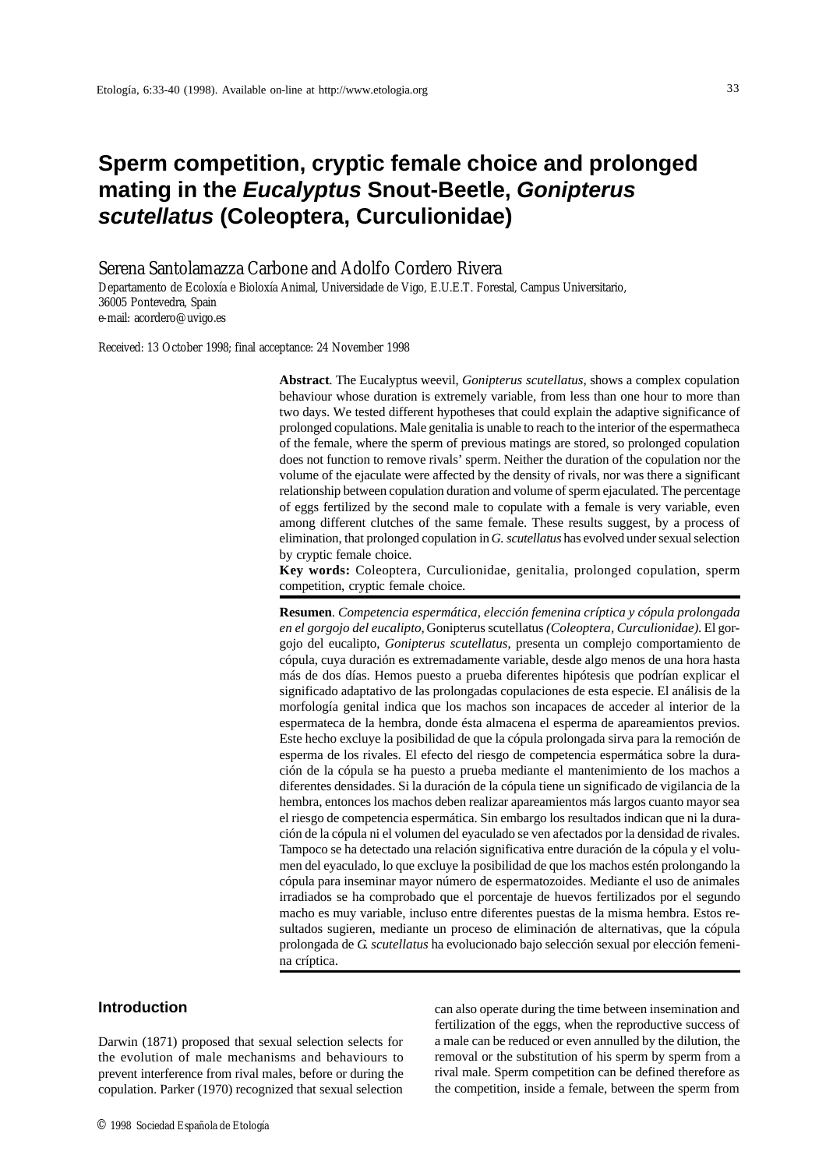# **Sperm competition, cryptic female choice and prolonged mating in the** *Eucalyptus* **Snout-Beetle,** *Gonipterus scutellatus* **(Coleoptera, Curculionidae)**

# Serena Santolamazza Carbone and Adolfo Cordero Rivera

Departamento de Ecoloxía e Bioloxía Animal, Universidade de Vigo, E.U.E.T. Forestal, Campus Universitario, 36005 Pontevedra, Spain e-mail: acordero@uvigo.es

Received: 13 October 1998; final acceptance: 24 November 1998

**Abstract**. The Eucalyptus weevil, *Gonipterus scutellatus*, shows a complex copulation behaviour whose duration is extremely variable, from less than one hour to more than two days. We tested different hypotheses that could explain the adaptive significance of prolonged copulations. Male genitalia is unable to reach to the interior of the espermatheca of the female, where the sperm of previous matings are stored, so prolonged copulation does not function to remove rivals' sperm. Neither the duration of the copulation nor the volume of the ejaculate were affected by the density of rivals, nor was there a significant relationship between copulation duration and volume of sperm ejaculated. The percentage of eggs fertilized by the second male to copulate with a female is very variable, even among different clutches of the same female. These results suggest, by a process of elimination, that prolonged copulation in *G. scutellatus* has evolved under sexual selection by cryptic female choice.

**Key words:** Coleoptera, Curculionidae, genitalia, prolonged copulation, sperm competition, cryptic female choice.

**Resumen**. *Competencia espermática, elección femenina críptica y cópula prolongada en el gorgojo del eucalipto,* Gonipterus scutellatus *(Coleoptera, Curculionidae)*. El gorgojo del eucalipto, *Gonipterus scutellatus*, presenta un complejo comportamiento de cópula, cuya duración es extremadamente variable, desde algo menos de una hora hasta más de dos días. Hemos puesto a prueba diferentes hipótesis que podrían explicar el significado adaptativo de las prolongadas copulaciones de esta especie. El análisis de la morfología genital indica que los machos son incapaces de acceder al interior de la espermateca de la hembra, donde ésta almacena el esperma de apareamientos previos. Este hecho excluye la posibilidad de que la cópula prolongada sirva para la remoción de esperma de los rivales. El efecto del riesgo de competencia espermática sobre la duración de la cópula se ha puesto a prueba mediante el mantenimiento de los machos a diferentes densidades. Si la duración de la cópula tiene un significado de vigilancia de la hembra, entonces los machos deben realizar apareamientos más largos cuanto mayor sea el riesgo de competencia espermática. Sin embargo los resultados indican que ni la duración de la cópula ni el volumen del eyaculado se ven afectados por la densidad de rivales. Tampoco se ha detectado una relación significativa entre duración de la cópula y el volumen del eyaculado, lo que excluye la posibilidad de que los machos estén prolongando la cópula para inseminar mayor número de espermatozoides. Mediante el uso de animales irradiados se ha comprobado que el porcentaje de huevos fertilizados por el segundo macho es muy variable, incluso entre diferentes puestas de la misma hembra. Estos resultados sugieren, mediante un proceso de eliminación de alternativas, que la cópula prolongada de *G. scutellatus* ha evolucionado bajo selección sexual por elección femenina críptica.

## **Introduction**

Darwin (1871) proposed that sexual selection selects for the evolution of male mechanisms and behaviours to prevent interference from rival males, before or during the copulation. Parker (1970) recognized that sexual selection can also operate during the time between insemination and fertilization of the eggs, when the reproductive success of a male can be reduced or even annulled by the dilution, the removal or the substitution of his sperm by sperm from a rival male. Sperm competition can be defined therefore as the competition, inside a female, between the sperm from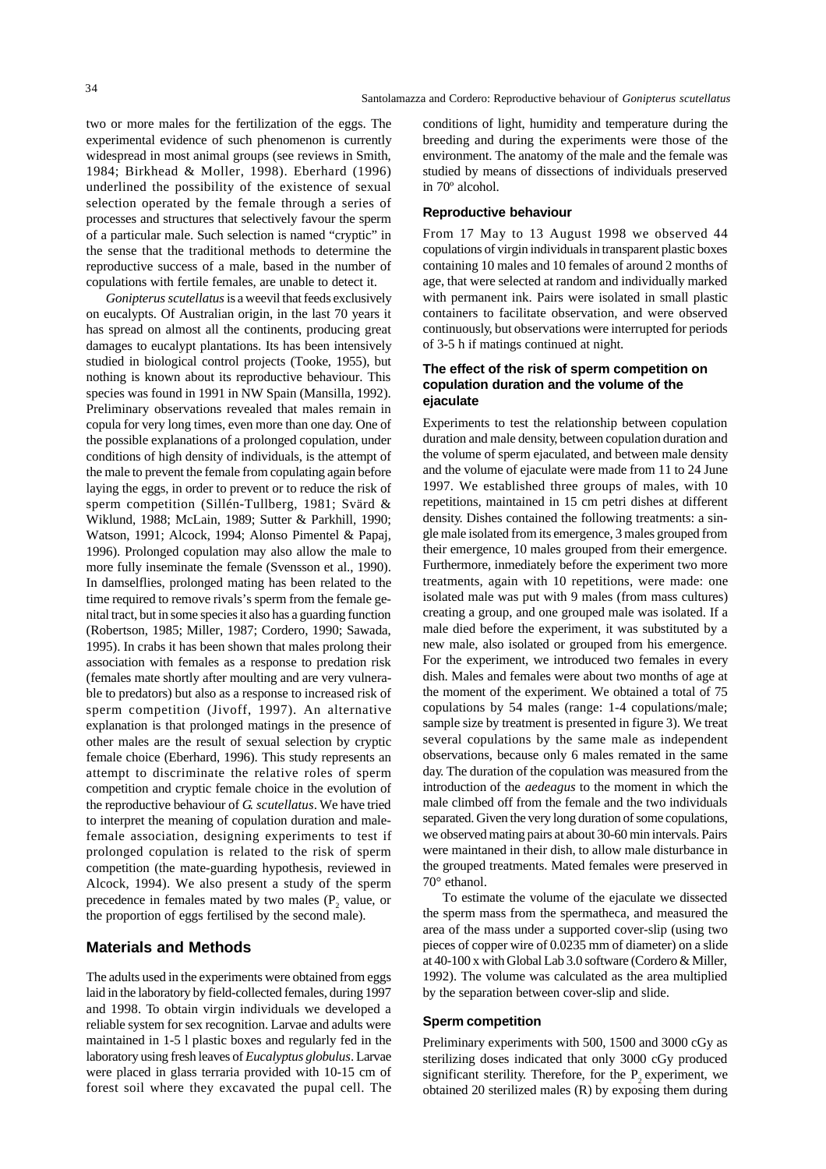two or more males for the fertilization of the eggs. The experimental evidence of such phenomenon is currently widespread in most animal groups (see reviews in Smith, 1984; Birkhead & Moller, 1998). Eberhard (1996) underlined the possibility of the existence of sexual selection operated by the female through a series of processes and structures that selectively favour the sperm of a particular male. Such selection is named "cryptic" in the sense that the traditional methods to determine the reproductive success of a male, based in the number of copulations with fertile females, are unable to detect it.

*Gonipterus scutellatus* is a weevil that feeds exclusively on eucalypts. Of Australian origin, in the last 70 years it has spread on almost all the continents, producing great damages to eucalypt plantations. Its has been intensively studied in biological control projects (Tooke, 1955), but nothing is known about its reproductive behaviour. This species was found in 1991 in NW Spain (Mansilla, 1992). Preliminary observations revealed that males remain in copula for very long times, even more than one day. One of the possible explanations of a prolonged copulation, under conditions of high density of individuals, is the attempt of the male to prevent the female from copulating again before laying the eggs, in order to prevent or to reduce the risk of sperm competition (Sillén-Tullberg, 1981; Svärd & Wiklund, 1988; McLain, 1989; Sutter & Parkhill, 1990; Watson, 1991; Alcock, 1994; Alonso Pimentel & Papaj, 1996). Prolonged copulation may also allow the male to more fully inseminate the female (Svensson et al., 1990). In damselflies, prolonged mating has been related to the time required to remove rivals's sperm from the female genital tract, but in some species it also has a guarding function (Robertson, 1985; Miller, 1987; Cordero, 1990; Sawada, 1995). In crabs it has been shown that males prolong their association with females as a response to predation risk (females mate shortly after moulting and are very vulnerable to predators) but also as a response to increased risk of sperm competition (Jivoff, 1997). An alternative explanation is that prolonged matings in the presence of other males are the result of sexual selection by cryptic female choice (Eberhard, 1996). This study represents an attempt to discriminate the relative roles of sperm competition and cryptic female choice in the evolution of the reproductive behaviour of *G. scutellatus*. We have tried to interpret the meaning of copulation duration and malefemale association, designing experiments to test if prolonged copulation is related to the risk of sperm competition (the mate-guarding hypothesis, reviewed in Alcock, 1994). We also present a study of the sperm precedence in females mated by two males  $(P_2)$  value, or the proportion of eggs fertilised by the second male).

## **Materials and Methods**

The adults used in the experiments were obtained from eggs laid in the laboratory by field-collected females, during 1997 and 1998. To obtain virgin individuals we developed a reliable system for sex recognition. Larvae and adults were maintained in 1-5 l plastic boxes and regularly fed in the laboratory using fresh leaves of *Eucalyptus globulus*. Larvae were placed in glass terraria provided with 10-15 cm of forest soil where they excavated the pupal cell. The

conditions of light, humidity and temperature during the breeding and during the experiments were those of the environment. The anatomy of the male and the female was studied by means of dissections of individuals preserved in 70º alcohol.

#### **Reproductive behaviour**

From 17 May to 13 August 1998 we observed 44 copulations of virgin individuals in transparent plastic boxes containing 10 males and 10 females of around 2 months of age, that were selected at random and individually marked with permanent ink. Pairs were isolated in small plastic containers to facilitate observation, and were observed continuously, but observations were interrupted for periods of 3-5 h if matings continued at night.

#### **The effect of the risk of sperm competition on copulation duration and the volume of the ejaculate**

Experiments to test the relationship between copulation duration and male density, between copulation duration and the volume of sperm ejaculated, and between male density and the volume of ejaculate were made from 11 to 24 June 1997. We established three groups of males, with 10 repetitions, maintained in 15 cm petri dishes at different density. Dishes contained the following treatments: a single male isolated from its emergence, 3 males grouped from their emergence, 10 males grouped from their emergence. Furthermore, inmediately before the experiment two more treatments, again with 10 repetitions, were made: one isolated male was put with 9 males (from mass cultures) creating a group, and one grouped male was isolated. If a male died before the experiment, it was substituted by a new male, also isolated or grouped from his emergence. For the experiment, we introduced two females in every dish. Males and females were about two months of age at the moment of the experiment. We obtained a total of 75 copulations by 54 males (range: 1-4 copulations/male; sample size by treatment is presented in figure 3). We treat several copulations by the same male as independent observations, because only 6 males remated in the same day. The duration of the copulation was measured from the introduction of the *aedeagus* to the moment in which the male climbed off from the female and the two individuals separated. Given the very long duration of some copulations, we observed mating pairs at about 30-60 min intervals. Pairs were maintaned in their dish, to allow male disturbance in the grouped treatments. Mated females were preserved in 70° ethanol.

To estimate the volume of the ejaculate we dissected the sperm mass from the spermatheca, and measured the area of the mass under a supported cover-slip (using two pieces of copper wire of 0.0235 mm of diameter) on a slide at 40-100 x with Global Lab 3.0 software (Cordero & Miller, 1992). The volume was calculated as the area multiplied by the separation between cover-slip and slide.

#### **Sperm competition**

Preliminary experiments with 500, 1500 and 3000 cGy as sterilizing doses indicated that only 3000 cGy produced significant sterility. Therefore, for the  $P<sub>2</sub>$  experiment, we obtained 20 sterilized males (R) by exposing them during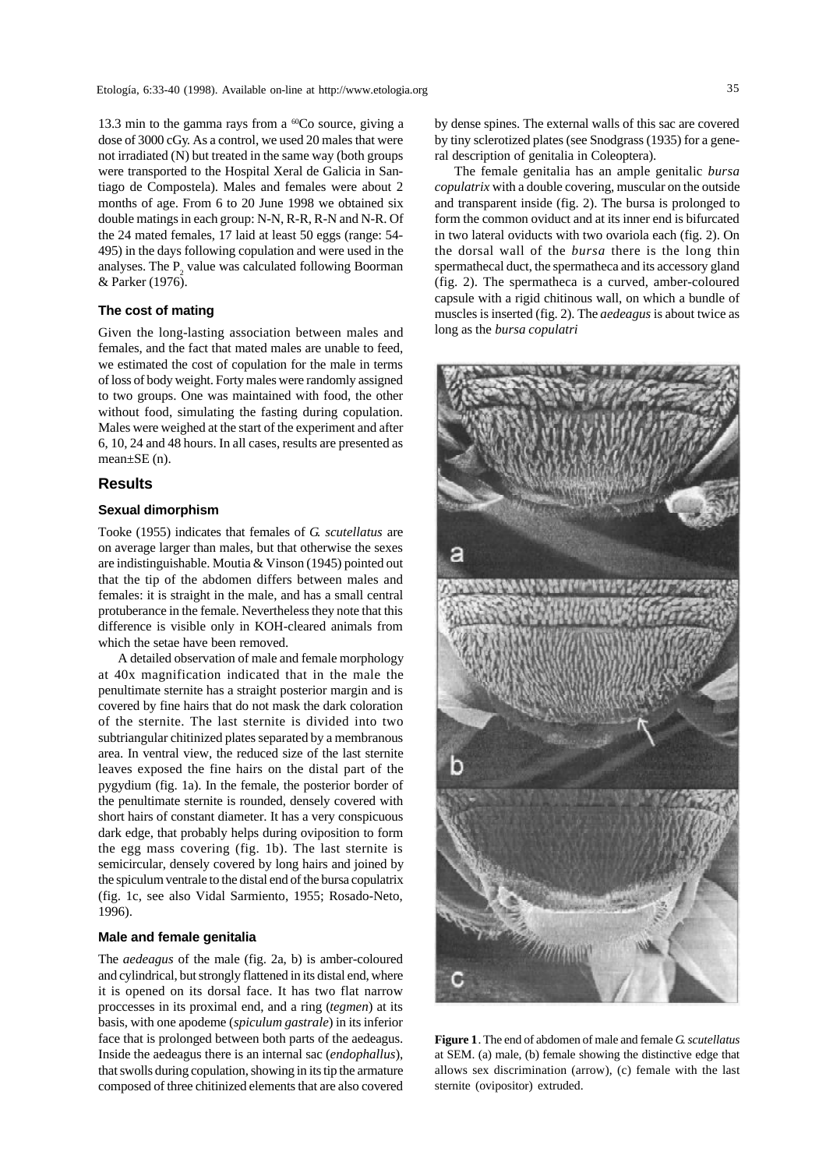13.3 min to the gamma rays from a  ${}^{60}Co$  source, giving a dose of 3000 cGy. As a control, we used 20 males that were not irradiated (N) but treated in the same way (both groups were transported to the Hospital Xeral de Galicia in Santiago de Compostela). Males and females were about 2 months of age. From 6 to 20 June 1998 we obtained six double matings in each group: N-N, R-R, R-N and N-R. Of the 24 mated females, 17 laid at least 50 eggs (range: 54- 495) in the days following copulation and were used in the analyses. The  $P_2$  value was calculated following Boorman & Parker (1976).

#### **The cost of mating**

Given the long-lasting association between males and females, and the fact that mated males are unable to feed, we estimated the cost of copulation for the male in terms of loss of body weight. Forty males were randomly assigned to two groups. One was maintained with food, the other without food, simulating the fasting during copulation. Males were weighed at the start of the experiment and after 6, 10, 24 and 48 hours. In all cases, results are presented as mean±SE (n).

## **Results**

#### **Sexual dimorphism**

Tooke (1955) indicates that females of *G. scutellatus* are on average larger than males, but that otherwise the sexes are indistinguishable. Moutia & Vinson (1945) pointed out that the tip of the abdomen differs between males and females: it is straight in the male, and has a small central protuberance in the female. Nevertheless they note that this difference is visible only in KOH-cleared animals from which the setae have been removed.

A detailed observation of male and female morphology at 40x magnification indicated that in the male the penultimate sternite has a straight posterior margin and is covered by fine hairs that do not mask the dark coloration of the sternite. The last sternite is divided into two subtriangular chitinized plates separated by a membranous area. In ventral view, the reduced size of the last sternite leaves exposed the fine hairs on the distal part of the pygydium (fig. 1a). In the female, the posterior border of the penultimate sternite is rounded, densely covered with short hairs of constant diameter. It has a very conspicuous dark edge, that probably helps during oviposition to form the egg mass covering (fig. 1b). The last sternite is semicircular, densely covered by long hairs and joined by the spiculum ventrale to the distal end of the bursa copulatrix (fig. 1c, see also Vidal Sarmiento, 1955; Rosado-Neto, 1996).

#### **Male and female genitalia**

The *aedeagus* of the male (fig. 2a, b) is amber-coloured and cylindrical, but strongly flattened in its distal end, where it is opened on its dorsal face. It has two flat narrow proccesses in its proximal end, and a ring (*tegmen*) at its basis, with one apodeme (*spiculum gastrale*) in its inferior face that is prolonged between both parts of the aedeagus. Inside the aedeagus there is an internal sac (*endophallus*), that swolls during copulation, showing in its tip the armature composed of three chitinized elements that are also covered by dense spines. The external walls of this sac are covered by tiny sclerotized plates (see Snodgrass (1935) for a general description of genitalia in Coleoptera).

The female genitalia has an ample genitalic *bursa copulatrix* with a double covering, muscular on the outside and transparent inside (fig. 2). The bursa is prolonged to form the common oviduct and at its inner end is bifurcated in two lateral oviducts with two ovariola each (fig. 2). On the dorsal wall of the *bursa* there is the long thin spermathecal duct, the spermatheca and its accessory gland (fig. 2). The spermatheca is a curved, amber-coloured capsule with a rigid chitinous wall, on which a bundle of muscles is inserted (fig. 2). The *aedeagus* is about twice as long as the *bursa copulatri*



**Figure 1**. The end of abdomen of male and female *G. scutellatus* at SEM. (a) male, (b) female showing the distinctive edge that allows sex discrimination (arrow), (c) female with the last sternite (ovipositor) extruded.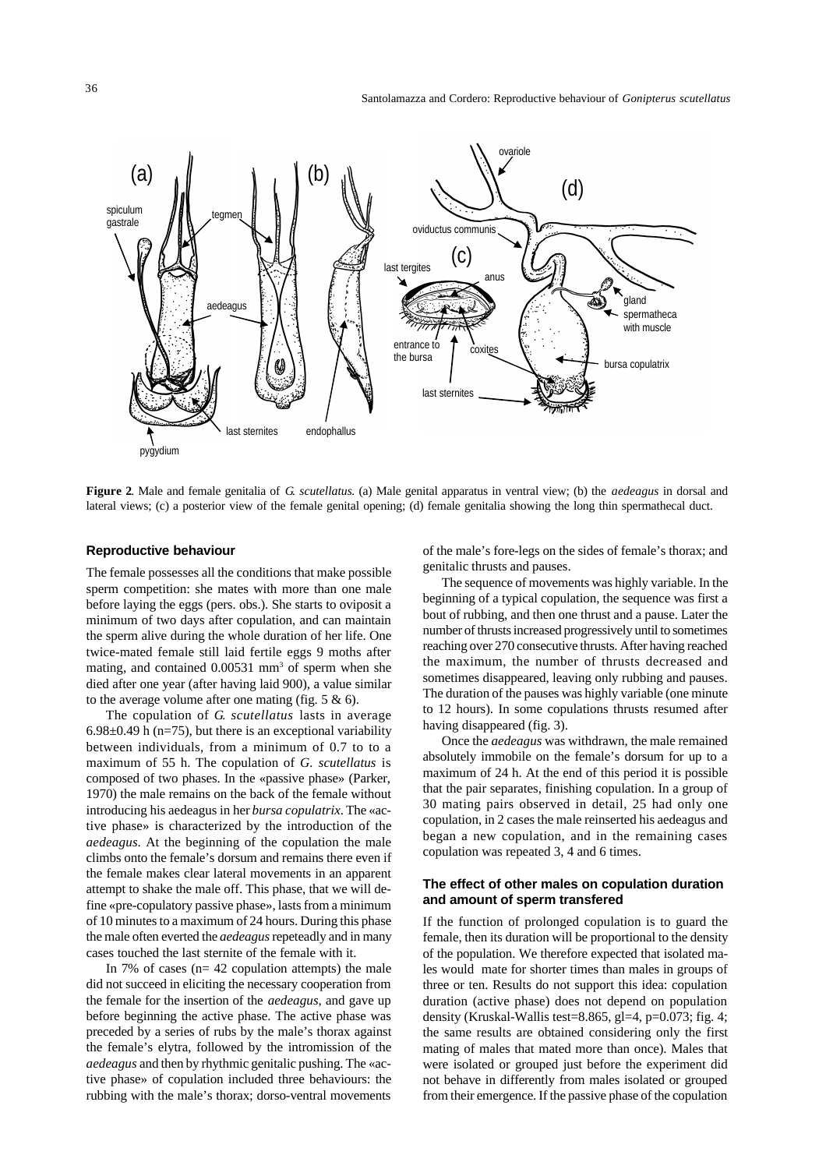

**Figure 2**. Male and female genitalia of *G. scutellatus*. (a) Male genital apparatus in ventral view; (b) the *aedeagus* in dorsal and lateral views; (c) a posterior view of the female genital opening; (d) female genitalia showing the long thin spermathecal duct.

## **Reproductive behaviour**

The female possesses all the conditions that make possible sperm competition: she mates with more than one male before laying the eggs (pers. obs.). She starts to oviposit a minimum of two days after copulation, and can maintain the sperm alive during the whole duration of her life. One twice-mated female still laid fertile eggs 9 moths after mating, and contained 0.00531 mm<sup>3</sup> of sperm when she died after one year (after having laid 900), a value similar to the average volume after one mating (fig.  $5 \& 6$ ).

The copulation of *G. scutellatus* lasts in average 6.98 $\pm$ 0.49 h (n=75), but there is an exceptional variability between individuals, from a minimum of 0.7 to to a maximum of 55 h. The copulation of *G. scutellatus* is composed of two phases. In the «passive phase» (Parker, 1970) the male remains on the back of the female without introducing his aedeagus in her *bursa copulatrix*. The «active phase» is characterized by the introduction of the *aedeagus*. At the beginning of the copulation the male climbs onto the female's dorsum and remains there even if the female makes clear lateral movements in an apparent attempt to shake the male off. This phase, that we will define «pre-copulatory passive phase», lasts from a minimum of 10 minutes to a maximum of 24 hours. During this phase the male often everted the *aedeagus* repeteadly and in many cases touched the last sternite of the female with it.

In 7% of cases ( $n= 42$  copulation attempts) the male did not succeed in eliciting the necessary cooperation from the female for the insertion of the *aedeagus*, and gave up before beginning the active phase. The active phase was preceded by a series of rubs by the male's thorax against the female's elytra, followed by the intromission of the *aedeagus* and then by rhythmic genitalic pushing. The «active phase» of copulation included three behaviours: the rubbing with the male's thorax; dorso-ventral movements

of the male's fore-legs on the sides of female's thorax; and genitalic thrusts and pauses.

The sequence of movements was highly variable. In the beginning of a typical copulation, the sequence was first a bout of rubbing, and then one thrust and a pause. Later the number of thrusts increased progressively until to sometimes reaching over 270 consecutive thrusts. After having reached the maximum, the number of thrusts decreased and sometimes disappeared, leaving only rubbing and pauses. The duration of the pauses was highly variable (one minute to 12 hours). In some copulations thrusts resumed after having disappeared (fig. 3).

Once the *aedeagus* was withdrawn, the male remained absolutely immobile on the female's dorsum for up to a maximum of 24 h. At the end of this period it is possible that the pair separates, finishing copulation. In a group of 30 mating pairs observed in detail, 25 had only one copulation, in 2 cases the male reinserted his aedeagus and began a new copulation, and in the remaining cases copulation was repeated 3, 4 and 6 times.

## **The effect of other males on copulation duration and amount of sperm transfered**

If the function of prolonged copulation is to guard the female, then its duration will be proportional to the density of the population. We therefore expected that isolated males would mate for shorter times than males in groups of three or ten. Results do not support this idea: copulation duration (active phase) does not depend on population density (Kruskal-Wallis test=8.865, gl=4, p=0.073; fig. 4; the same results are obtained considering only the first mating of males that mated more than once). Males that were isolated or grouped just before the experiment did not behave in differently from males isolated or grouped from their emergence. If the passive phase of the copulation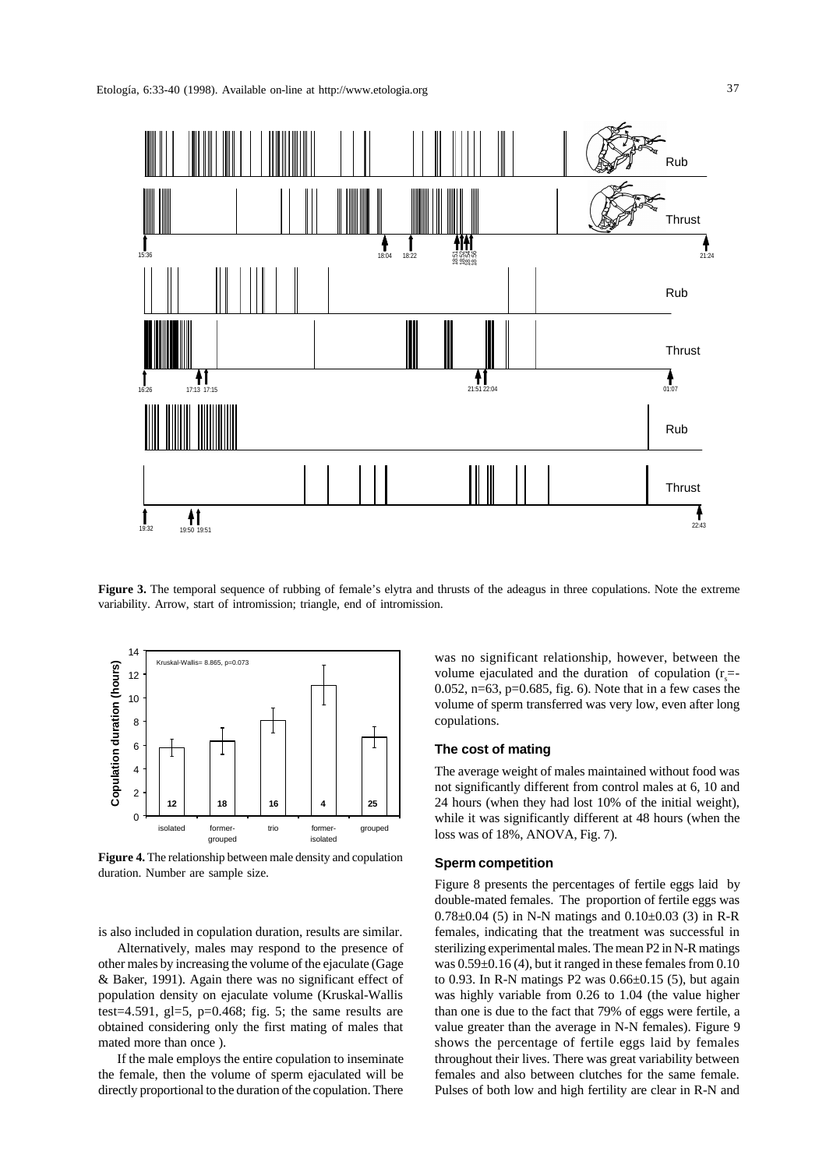

**Figure 3.** The temporal sequence of rubbing of female's elytra and thrusts of the adeagus in three copulations. Note the extreme variability. Arrow, start of intromission; triangle, end of intromission.



**Figure 4.** The relationship between male density and copulation duration. Number are sample size.

is also included in copulation duration, results are similar.

Alternatively, males may respond to the presence of other males by increasing the volume of the ejaculate (Gage & Baker, 1991). Again there was no significant effect of population density on ejaculate volume (Kruskal-Wallis test=4.591, gl=5, p=0.468; fig. 5; the same results are obtained considering only the first mating of males that mated more than once ).

If the male employs the entire copulation to inseminate the female, then the volume of sperm ejaculated will be directly proportional to the duration of the copulation. There was no significant relationship, however, between the volume ejaculated and the duration of copulation  $(r<sub>s</sub>=$ 0.052, n=63, p=0.685, fig. 6). Note that in a few cases the volume of sperm transferred was very low, even after long copulations.

#### **The cost of mating**

The average weight of males maintained without food was not significantly different from control males at 6, 10 and 24 hours (when they had lost 10% of the initial weight), while it was significantly different at 48 hours (when the loss was of 18%, ANOVA, Fig. 7).

#### **Sperm competition**

Figure 8 presents the percentages of fertile eggs laid by double-mated females. The proportion of fertile eggs was  $0.78 \pm 0.04$  (5) in N-N matings and  $0.10 \pm 0.03$  (3) in R-R females, indicating that the treatment was successful in sterilizing experimental males. The mean P2 in N-R matings was 0.59±0.16 (4), but it ranged in these females from 0.10 to 0.93. In R-N matings P2 was 0.66±0.15 (5), but again was highly variable from 0.26 to 1.04 (the value higher than one is due to the fact that 79% of eggs were fertile, a value greater than the average in N-N females). Figure 9 shows the percentage of fertile eggs laid by females throughout their lives. There was great variability between females and also between clutches for the same female. Pulses of both low and high fertility are clear in R-N and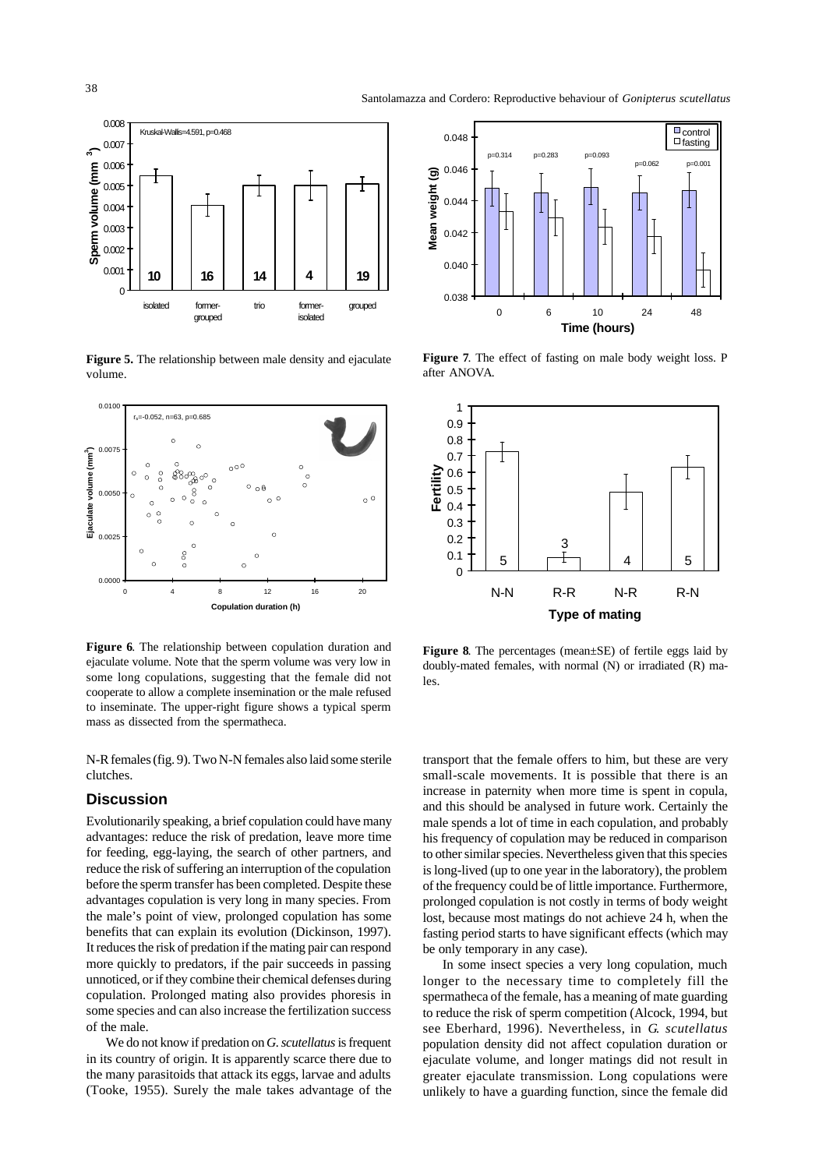

**Figure 5.** The relationship between male density and ejaculate volume.



**Figure 6**. The relationship between copulation duration and ejaculate volume. Note that the sperm volume was very low in some long copulations, suggesting that the female did not cooperate to allow a complete insemination or the male refused to inseminate. The upper-right figure shows a typical sperm mass as dissected from the spermatheca.

N-R females (fig. 9). Two N-N females also laid some sterile clutches.

## **Discussion**

Evolutionarily speaking, a brief copulation could have many advantages: reduce the risk of predation, leave more time for feeding, egg-laying, the search of other partners, and reduce the risk of suffering an interruption of the copulation before the sperm transfer has been completed. Despite these advantages copulation is very long in many species. From the male's point of view, prolonged copulation has some benefits that can explain its evolution (Dickinson, 1997). It reduces the risk of predation if the mating pair can respond more quickly to predators, if the pair succeeds in passing unnoticed, or if they combine their chemical defenses during copulation. Prolonged mating also provides phoresis in some species and can also increase the fertilization success of the male.

We do not know if predation on *G. scutellatus* is frequent in its country of origin. It is apparently scarce there due to the many parasitoids that attack its eggs, larvae and adults (Tooke, 1955). Surely the male takes advantage of the



**Figure 7**. The effect of fasting on male body weight loss. P after ANOVA.



**Figure 8.** The percentages (mean $\pm$ SE) of fertile eggs laid by doubly-mated females, with normal (N) or irradiated (R) males.

transport that the female offers to him, but these are very small-scale movements. It is possible that there is an increase in paternity when more time is spent in copula, and this should be analysed in future work. Certainly the male spends a lot of time in each copulation, and probably his frequency of copulation may be reduced in comparison to other similar species. Nevertheless given that this species is long-lived (up to one year in the laboratory), the problem of the frequency could be of little importance. Furthermore, prolonged copulation is not costly in terms of body weight lost, because most matings do not achieve 24 h, when the fasting period starts to have significant effects (which may be only temporary in any case).

In some insect species a very long copulation, much longer to the necessary time to completely fill the spermatheca of the female, has a meaning of mate guarding to reduce the risk of sperm competition (Alcock, 1994, but see Eberhard, 1996). Nevertheless, in *G. scutellatus* population density did not affect copulation duration or ejaculate volume, and longer matings did not result in greater ejaculate transmission. Long copulations were unlikely to have a guarding function, since the female did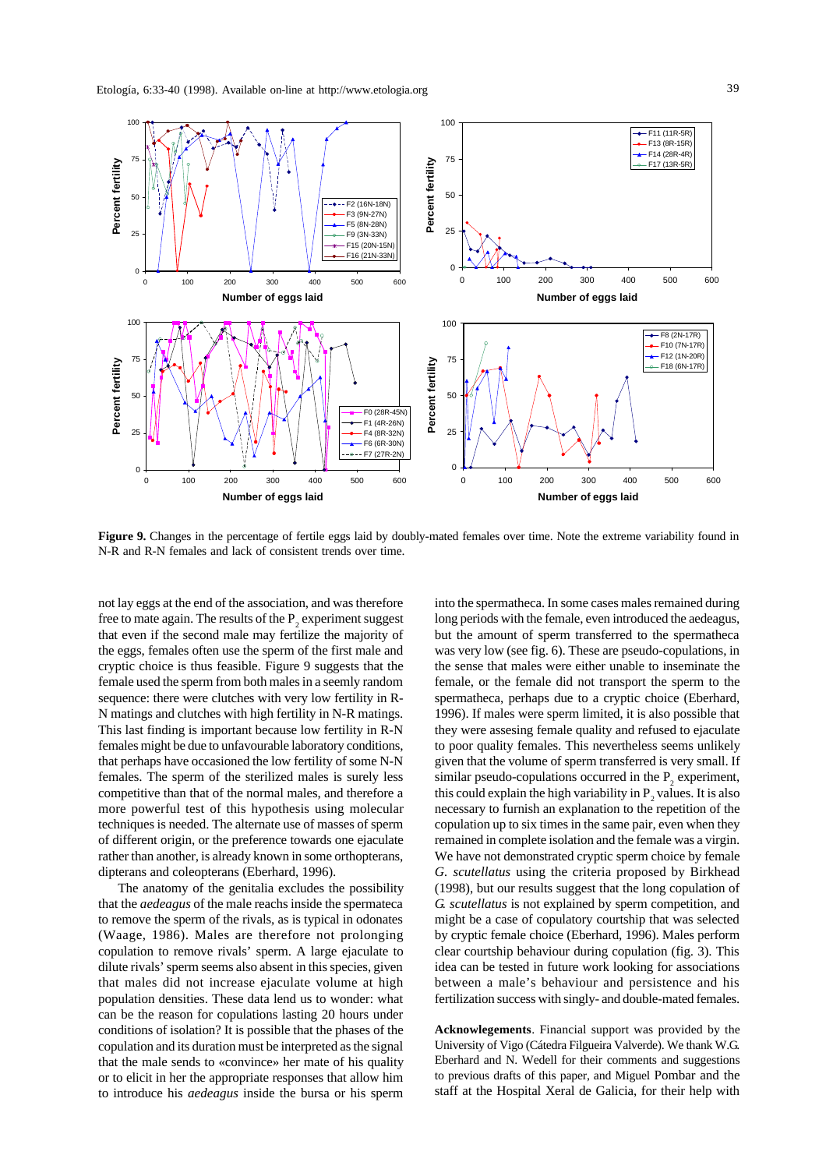

**Figure 9.** Changes in the percentage of fertile eggs laid by doubly-mated females over time. Note the extreme variability found in N-R and R-N females and lack of consistent trends over time.

not lay eggs at the end of the association, and was therefore free to mate again. The results of the  $P_2$  experiment suggest that even if the second male may fertilize the majority of the eggs, females often use the sperm of the first male and cryptic choice is thus feasible. Figure 9 suggests that the female used the sperm from both males in a seemly random sequence: there were clutches with very low fertility in R-N matings and clutches with high fertility in N-R matings. This last finding is important because low fertility in R-N females might be due to unfavourable laboratory conditions, that perhaps have occasioned the low fertility of some N-N females. The sperm of the sterilized males is surely less competitive than that of the normal males, and therefore a more powerful test of this hypothesis using molecular techniques is needed. The alternate use of masses of sperm of different origin, or the preference towards one ejaculate rather than another, is already known in some orthopterans, dipterans and coleopterans (Eberhard, 1996).

The anatomy of the genitalia excludes the possibility that the *aedeagus* of the male reachs inside the spermateca to remove the sperm of the rivals, as is typical in odonates (Waage, 1986). Males are therefore not prolonging copulation to remove rivals' sperm. A large ejaculate to dilute rivals' sperm seems also absent in this species, given that males did not increase ejaculate volume at high population densities. These data lend us to wonder: what can be the reason for copulations lasting 20 hours under conditions of isolation? It is possible that the phases of the copulation and its duration must be interpreted as the signal that the male sends to «convince» her mate of his quality or to elicit in her the appropriate responses that allow him to introduce his *aedeagus* inside the bursa or his sperm into the spermatheca. In some cases males remained during long periods with the female, even introduced the aedeagus, but the amount of sperm transferred to the spermatheca was very low (see fig. 6). These are pseudo-copulations, in the sense that males were either unable to inseminate the female, or the female did not transport the sperm to the spermatheca, perhaps due to a cryptic choice (Eberhard, 1996). If males were sperm limited, it is also possible that they were assesing female quality and refused to ejaculate to poor quality females. This nevertheless seems unlikely given that the volume of sperm transferred is very small. If similar pseudo-copulations occurred in the  $P_2$  experiment, this could explain the high variability in  $P_2$  values. It is also necessary to furnish an explanation to the repetition of the copulation up to six times in the same pair, even when they remained in complete isolation and the female was a virgin. We have not demonstrated cryptic sperm choice by female *G. scutellatus* using the criteria proposed by Birkhead (1998), but our results suggest that the long copulation of *G. scutellatus* is not explained by sperm competition, and might be a case of copulatory courtship that was selected by cryptic female choice (Eberhard, 1996). Males perform clear courtship behaviour during copulation (fig. 3). This idea can be tested in future work looking for associations between a male's behaviour and persistence and his fertilization success with singly- and double-mated females.

**Acknowlegements**. Financial support was provided by the University of Vigo (Cátedra Filgueira Valverde). We thank W.G. Eberhard and N. Wedell for their comments and suggestions to previous drafts of this paper, and Miguel Pombar and the staff at the Hospital Xeral de Galicia, for their help with